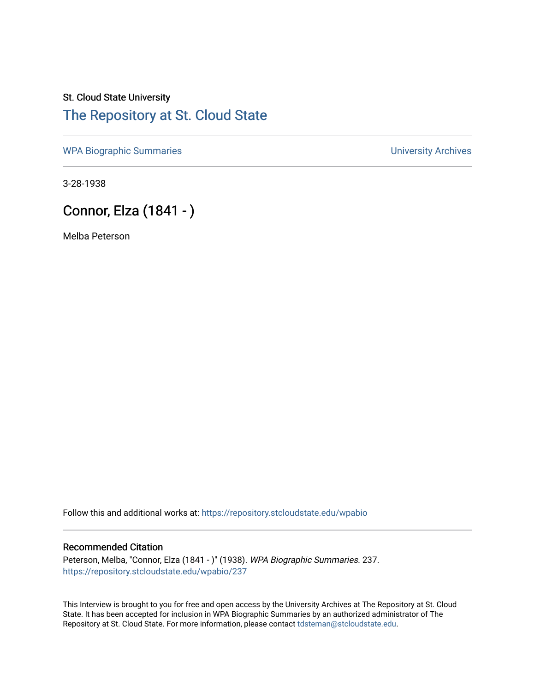## St. Cloud State University [The Repository at St. Cloud State](https://repository.stcloudstate.edu/)

[WPA Biographic Summaries](https://repository.stcloudstate.edu/wpabio) **WPA Biographic Summaries University Archives** 

3-28-1938

# Connor, Elza (1841 - )

Melba Peterson

Follow this and additional works at: [https://repository.stcloudstate.edu/wpabio](https://repository.stcloudstate.edu/wpabio?utm_source=repository.stcloudstate.edu%2Fwpabio%2F237&utm_medium=PDF&utm_campaign=PDFCoverPages) 

#### Recommended Citation

Peterson, Melba, "Connor, Elza (1841 - )" (1938). WPA Biographic Summaries. 237. [https://repository.stcloudstate.edu/wpabio/237](https://repository.stcloudstate.edu/wpabio/237?utm_source=repository.stcloudstate.edu%2Fwpabio%2F237&utm_medium=PDF&utm_campaign=PDFCoverPages) 

This Interview is brought to you for free and open access by the University Archives at The Repository at St. Cloud State. It has been accepted for inclusion in WPA Biographic Summaries by an authorized administrator of The Repository at St. Cloud State. For more information, please contact [tdsteman@stcloudstate.edu.](mailto:tdsteman@stcloudstate.edu)